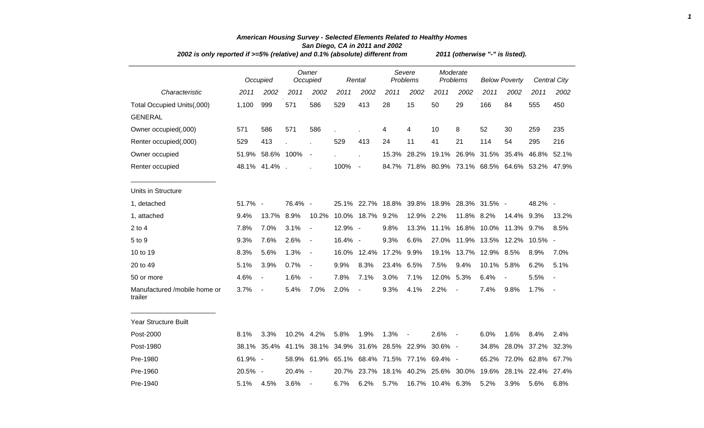|                                         | 2002 is only reported if >=5% (relative) and 0.1% (absolute) different from |                          |            |                              |                                             |                          |                   |                                             |                      |                          | 2011 (otherwise "-" is listed). |                                                 |                   |                          |  |  |  |  |  |  |
|-----------------------------------------|-----------------------------------------------------------------------------|--------------------------|------------|------------------------------|---------------------------------------------|--------------------------|-------------------|---------------------------------------------|----------------------|--------------------------|---------------------------------|-------------------------------------------------|-------------------|--------------------------|--|--|--|--|--|--|
|                                         |                                                                             | Occupied                 |            | Owner<br>Occupied            |                                             | Rental                   |                   | Severe<br>Problems                          | Moderate<br>Problems |                          | <b>Below Poverty</b>            |                                                 |                   | <b>Central City</b>      |  |  |  |  |  |  |
| Characteristic                          | 2011                                                                        | 2002                     | 2011       | 2002                         | 2011                                        | 2002                     | 2011              | 2002                                        | 2011                 | 2002                     | 2011                            | 2002                                            | 2011              | 2002                     |  |  |  |  |  |  |
| Total Occupied Units(,000)              | 1,100                                                                       | 999                      | 571        | 586                          | 529                                         | 413                      | 28                | 15                                          | 50                   | 29                       | 166                             | 84                                              | 555               | 450                      |  |  |  |  |  |  |
| <b>GENERAL</b>                          |                                                                             |                          |            |                              |                                             |                          |                   |                                             |                      |                          |                                 |                                                 |                   |                          |  |  |  |  |  |  |
| Owner occupied(,000)                    | 571                                                                         | 586                      | 571        | 586                          |                                             |                          | 4                 | 4                                           | 10                   | 8                        | 52                              | 30                                              | 259               | 235                      |  |  |  |  |  |  |
| Renter occupied(,000)                   | 529                                                                         | 413                      |            |                              | 529                                         | 413                      | 24                | 11                                          | 41                   | 21                       | 114                             | 54                                              | 295               | 216                      |  |  |  |  |  |  |
| Owner occupied                          |                                                                             | 51.9% 58.6% 100%         |            | $\blacksquare$               |                                             |                          | 15.3%             | 28.2%                                       |                      | 19.1% 26.9%              | 31.5%                           | 35.4%                                           | 46.8%             | 52.1%                    |  |  |  |  |  |  |
| Renter occupied                         |                                                                             | 48.1% 41.4%.             |            |                              | 100%                                        | $\blacksquare$           |                   |                                             |                      |                          |                                 | 84.7% 71.8% 80.9% 73.1% 68.5% 64.6% 53.2% 47.9% |                   |                          |  |  |  |  |  |  |
| Units in Structure                      |                                                                             |                          |            |                              |                                             |                          |                   |                                             |                      |                          |                                 |                                                 |                   |                          |  |  |  |  |  |  |
| 1, detached                             | 51.7% -                                                                     |                          | 76.4% -    |                              |                                             |                          |                   | 25.1% 22.7% 18.8% 39.8% 18.9% 28.3% 31.5% - |                      |                          |                                 |                                                 | 48.2% -           |                          |  |  |  |  |  |  |
| 1, attached                             | 9.4%                                                                        | 13.7%                    | 8.9%       | 10.2%                        |                                             | 10.0% 18.7%              | 9.2%              | 12.9% 2.2%                                  |                      | 11.8% 8.2%               |                                 | 14.4%                                           | 9.3%              | 13.2%                    |  |  |  |  |  |  |
| $2$ to $4$                              | 7.8%                                                                        | 7.0%                     | 3.1%       | $\blacksquare$               | 12.9% -                                     |                          | 9.8%              | 13.3%                                       |                      |                          |                                 | 11.1% 16.8% 10.0% 11.3%                         | 9.7%              | 8.5%                     |  |  |  |  |  |  |
| 5 to 9                                  | 9.3%                                                                        | 7.6%                     | 2.6%       | $\blacksquare$               | 16.4% -                                     |                          | 9.3%              | 6.6%                                        | 27.0%                |                          |                                 | 11.9% 13.5% 12.2%                               | 10.5% -           |                          |  |  |  |  |  |  |
| 10 to 19                                | 8.3%                                                                        | 5.6%                     | 1.3%       | $\blacksquare$               |                                             |                          | 16.0% 12.4% 17.2% | 9.9%                                        | 19.1%                | 13.7%                    | 12.9%                           | 8.5%                                            | 8.9%              | 7.0%                     |  |  |  |  |  |  |
| 20 to 49                                | 5.1%                                                                        | 3.9%                     | 0.7%       | $\qquad \qquad \blacksquare$ | 9.9%                                        | 8.3%                     | 23.4%             | 6.5%                                        | 7.5%                 | 9.4%                     | 10.1%                           | 5.8%                                            | 6.2%              | 5.1%                     |  |  |  |  |  |  |
| 50 or more                              | 4.6%                                                                        | $\overline{\phantom{a}}$ | 1.6%       | $\overline{\phantom{a}}$     | 7.8%                                        | 7.1%                     | 3.0%              | 7.1%                                        | 12.0% 5.3%           |                          | 6.4%                            | $\blacksquare$                                  | 5.5%              | $\overline{\phantom{a}}$ |  |  |  |  |  |  |
| Manufactured /mobile home or<br>trailer | 3.7%                                                                        | $\blacksquare$           | 5.4%       | 7.0%                         | 2.0%                                        | $\overline{\phantom{a}}$ | 9.3%              | 4.1%                                        | 2.2%                 | $\overline{\phantom{a}}$ | 7.4%                            | 9.8%                                            | 1.7%              | $\sim$                   |  |  |  |  |  |  |
| Year Structure Built                    |                                                                             |                          |            |                              |                                             |                          |                   |                                             |                      |                          |                                 |                                                 |                   |                          |  |  |  |  |  |  |
| Post-2000                               | 8.1%                                                                        | 3.3%                     | 10.2% 4.2% |                              | 5.8%                                        | 1.9%                     | 1.3%              | $\blacksquare$                              | 2.6%                 | $\sim$                   | 6.0%                            | 1.6%                                            | 8.4%              | 2.4%                     |  |  |  |  |  |  |
| Post-1980                               | 38.1%                                                                       | 35.4%                    |            |                              | 41.1% 38.1% 34.9% 31.6% 28.5% 22.9%         |                          |                   |                                             | $30.6\%$ -           |                          | 34.8%                           | 28.0%                                           | 37.2%             | 32.3%                    |  |  |  |  |  |  |
| Pre-1980                                | 61.9% -                                                                     |                          |            |                              | 58.9% 61.9% 65.1% 68.4% 71.5% 77.1% 69.4% - |                          |                   |                                             |                      |                          | 65.2%                           |                                                 | 72.0% 62.8% 67.7% |                          |  |  |  |  |  |  |
| Pre-1960                                | 20.5% -                                                                     |                          | 20.4% -    |                              |                                             |                          |                   | 20.7% 23.7% 18.1% 40.2% 25.6% 30.0%         |                      |                          | 19.6%                           |                                                 | 28.1% 22.4% 27.4% |                          |  |  |  |  |  |  |
| Pre-1940                                | 5.1%                                                                        | 4.5%                     | 3.6%       |                              | 6.7%                                        | 6.2%                     | 5.7%              |                                             | 16.7% 10.4% 6.3%     |                          | 5.2%                            | 3.9%                                            | 5.6%              | 6.8%                     |  |  |  |  |  |  |

## *American Housing Survey - Selected Elements Related to Healthy Homes San Diego, CA in 2011 and 2002*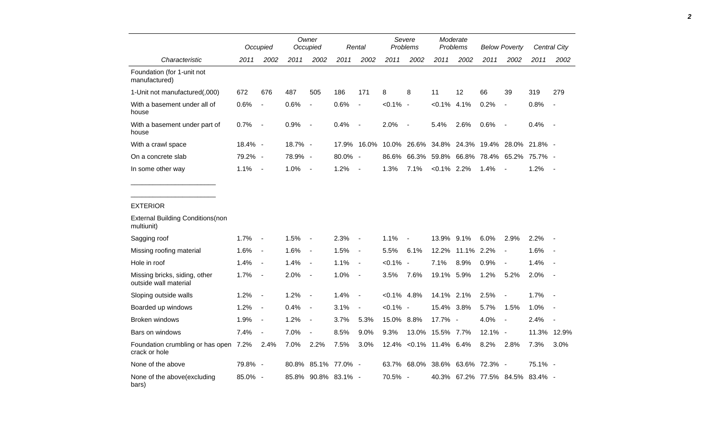|                                                                          |            | Occupied                 | Owner<br>Occupied |                          | Rental              |                          | Severe<br>Problems |                          | Moderate<br><b>Problems</b> |             | <b>Below Poverty</b> |                                 | Central City |                          |
|--------------------------------------------------------------------------|------------|--------------------------|-------------------|--------------------------|---------------------|--------------------------|--------------------|--------------------------|-----------------------------|-------------|----------------------|---------------------------------|--------------|--------------------------|
| Characteristic                                                           | 2011       | 2002                     | 2011              | 2002                     | 2011                | 2002                     | 2011               | 2002                     | 2011                        | 2002        | 2011                 | 2002                            | 2011         | 2002                     |
| Foundation (for 1-unit not<br>manufactured)                              |            |                          |                   |                          |                     |                          |                    |                          |                             |             |                      |                                 |              |                          |
| 1-Unit not manufactured(,000)                                            | 672        | 676                      | 487               | 505                      | 186                 | 171                      | 8                  | 8                        | 11                          | 12          | 66                   | 39                              | 319          | 279                      |
| With a basement under all of<br>house                                    | 0.6%       | $\overline{\phantom{a}}$ | 0.6%              | $\overline{\phantom{a}}$ | 0.6%                | $\overline{\phantom{a}}$ | $< 0.1\%$ -        |                          | $< 0.1\%$ 4.1%              |             | 0.2%                 | $\overline{\phantom{a}}$        | 0.8%         | $\overline{\phantom{a}}$ |
| With a basement under part of<br>house                                   | 0.7%       | $\sim$                   | 0.9%              | $\overline{\phantom{a}}$ | 0.4%                | $\overline{\phantom{a}}$ | 2.0%               | $\overline{\phantom{a}}$ | 5.4%                        | 2.6%        | 0.6%                 | $\overline{\phantom{a}}$        | 0.4%         | $\sim$                   |
| With a crawl space                                                       | $18.4\%$ - |                          | 18.7% -           |                          | 17.9%               | 16.0%                    |                    | 10.0% 26.6%              |                             |             |                      | 34.8% 24.3% 19.4% 28.0% 21.8% - |              |                          |
| On a concrete slab                                                       | 79.2% -    |                          | 78.9% -           |                          | 80.0% -             |                          |                    | 86.6% 66.3%              |                             |             |                      | 59.8% 66.8% 78.4% 65.2% 75.7% - |              |                          |
| In some other way                                                        | 1.1%       | $\sim$ $-$               | 1.0%              | $\sim$                   | 1.2%                | $\overline{\phantom{a}}$ | 1.3%               | 7.1%                     | $< 0.1\%$ 2.2%              |             | 1.4%                 | $\blacksquare$                  | 1.2%         | $\sim$                   |
| <b>EXTERIOR</b><br><b>External Building Conditions(non</b><br>multiunit) |            |                          |                   |                          |                     |                          |                    |                          |                             |             |                      |                                 |              |                          |
| Sagging roof                                                             | 1.7%       | $\sim$                   | 1.5%              | $\blacksquare$           | 2.3%                | $\overline{\phantom{a}}$ | 1.1%               |                          | 13.9% 9.1%                  |             | 6.0%                 | 2.9%                            | 2.2%         |                          |
| Missing roofing material                                                 | 1.6%       | $\sim$                   | 1.6%              | $\blacksquare$           | 1.5%                | $\sim$                   | 5.5%               | 6.1%                     |                             | 12.2% 11.1% | 2.2%                 | $\blacksquare$                  | 1.6%         |                          |
| Hole in roof                                                             | 1.4%       | $\sim$                   | 1.4%              | $\blacksquare$           | 1.1%                | $\sim$                   | $< 0.1\%$          | $\overline{\phantom{a}}$ | 7.1%                        | 8.9%        | 0.9%                 | $\overline{\phantom{a}}$        | 1.4%         |                          |
| Missing bricks, siding, other<br>outside wall material                   | 1.7%       | $\sim$                   | 2.0%              | $\overline{\phantom{a}}$ | 1.0%                | $\overline{\phantom{a}}$ | 3.5%               | 7.6%                     | 19.1% 5.9%                  |             | 1.2%                 | 5.2%                            | 2.0%         |                          |
| Sloping outside walls                                                    | 1.2%       | $\sim$                   | 1.2%              | $\overline{\phantom{a}}$ | 1.4%                | $\overline{\phantom{a}}$ | $< 0.1\%$ 4.8%     |                          | 14.1% 2.1%                  |             | 2.5%                 | $\sim$                          | 1.7%         | $\sim$                   |
| Boarded up windows                                                       | 1.2%       | $\sim$                   | 0.4%              | $\overline{\phantom{a}}$ | 3.1%                | $\overline{\phantom{a}}$ | $< 0.1\%$ -        |                          | 15.4% 3.8%                  |             | 5.7%                 | 1.5%                            | 1.0%         |                          |
| Broken windows                                                           | 1.9%       | $\sim$                   | 1.2%              | $\blacksquare$           | 3.7%                | 5.3%                     | 15.0% 8.8%         |                          | 17.7% -                     |             | 4.0%                 | $\overline{a}$                  | 2.4%         | $\sim$                   |
| Bars on windows                                                          | 7.4%       | $\sim$                   | 7.0%              | $\blacksquare$           | 8.5%                | 9.0%                     | 9.3%               |                          | 13.0% 15.5% 7.7%            |             | $12.1\%$ -           |                                 | 11.3% 12.9%  |                          |
| Foundation crumbling or has open 7.2%<br>crack or hole                   |            | 2.4%                     | 7.0%              | 2.2%                     | 7.5%                | 3.0%                     |                    | 12.4% < 0.1% 11.4% 6.4%  |                             |             | 8.2%                 | 2.8%                            | 7.3%         | 3.0%                     |
| None of the above                                                        | 79.8% -    |                          |                   |                          | 80.8% 85.1% 77.0% - |                          |                    | 63.7% 68.0%              |                             |             | 38.6% 63.6% 72.3% -  |                                 | 75.1% -      |                          |
| None of the above(excluding<br>bars)                                     | 85.0% -    |                          |                   |                          | 85.8% 90.8% 83.1% - |                          | 70.5% -            |                          |                             |             |                      | 40.3% 67.2% 77.5% 84.5% 83.4% - |              |                          |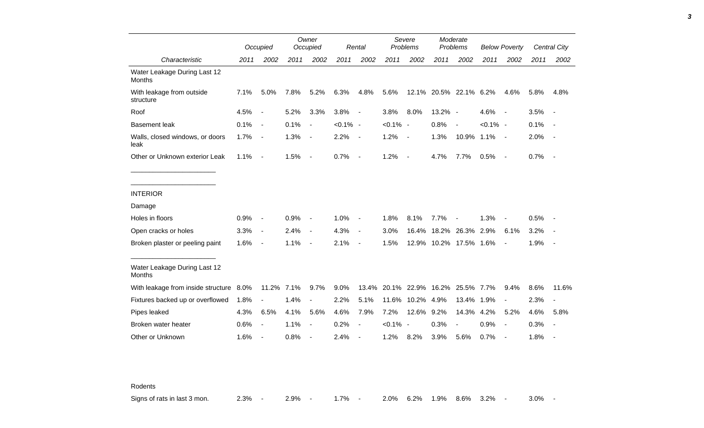|                                               |      | Occupied                 |      | Owner<br>Occupied        |             | Rental         |             | Severe<br>Problems       |                        | Moderate<br>Problems |             | <b>Below Poverty</b> |      | Central City |
|-----------------------------------------------|------|--------------------------|------|--------------------------|-------------|----------------|-------------|--------------------------|------------------------|----------------------|-------------|----------------------|------|--------------|
| Characteristic                                | 2011 | 2002                     | 2011 | 2002                     | 2011        | 2002           | 2011        | 2002                     | 2011                   | 2002                 | 2011        | 2002                 | 2011 | 2002         |
| Water Leakage During Last 12<br>Months        |      |                          |      |                          |             |                |             |                          |                        |                      |             |                      |      |              |
| With leakage from outside<br>structure        | 7.1% | 5.0%                     | 7.8% | 5.2%                     | 6.3%        | 4.8%           | 5.6%        | 12.1%                    |                        | 20.5% 22.1% 6.2%     |             | 4.6%                 | 5.8% | 4.8%         |
| Roof                                          | 4.5% | $\overline{a}$           | 5.2% | 3.3%                     | 3.8%        | $\blacksquare$ | 3.8%        | 8.0%                     | 13.2% -                |                      | 4.6%        | $\sim$               | 3.5% |              |
| <b>Basement leak</b>                          | 0.1% | $\overline{\phantom{a}}$ | 0.1% | $\overline{\phantom{a}}$ | $< 0.1\%$ - |                | $< 0.1\%$ - |                          | 0.8%                   | $\sim$               | $< 0.1\%$ - |                      | 0.1% |              |
| Walls, closed windows, or doors<br>leak       | 1.7% | $\overline{\phantom{a}}$ | 1.3% | $\overline{\phantom{a}}$ | 2.2%        | $\blacksquare$ | 1.2%        | $\overline{\phantom{a}}$ | 1.3%                   | 10.9% 1.1%           |             | $\sim$ $-$           | 2.0% |              |
| Other or Unknown exterior Leak                | 1.1% | $\overline{\phantom{a}}$ | 1.5% | $\blacksquare$           | 0.7%        | $\blacksquare$ | 1.2%        | $\blacksquare$           | 4.7%                   | 7.7%                 | 0.5%        | $\sim$               | 0.7% | $\sim$       |
|                                               |      |                          |      |                          |             |                |             |                          |                        |                      |             |                      |      |              |
| <b>INTERIOR</b>                               |      |                          |      |                          |             |                |             |                          |                        |                      |             |                      |      |              |
| Damage                                        |      |                          |      |                          |             |                |             |                          |                        |                      |             |                      |      |              |
| Holes in floors                               | 0.9% | $\blacksquare$           | 0.9% | $\blacksquare$           | 1.0%        |                | 1.8%        | 8.1%                     | 7.7%                   |                      | 1.3%        |                      | 0.5% |              |
| Open cracks or holes                          | 3.3% | $\overline{\phantom{a}}$ | 2.4% | $\blacksquare$           | 4.3%        | $\blacksquare$ | 3.0%        | 16.4%                    |                        | 18.2% 26.3%          | 2.9%        | 6.1%                 | 3.2% |              |
| Broken plaster or peeling paint               | 1.6% | $\overline{\phantom{a}}$ | 1.1% | $\overline{\phantom{a}}$ | 2.1%        | $\blacksquare$ | 1.5%        |                          | 12.9% 10.2% 17.5% 1.6% |                      |             |                      | 1.9% |              |
| Water Leakage During Last 12<br><b>Months</b> |      |                          |      |                          |             |                |             |                          |                        |                      |             |                      |      |              |
| With leakage from inside structure 8.0%       |      | 11.2% 7.1%               |      | 9.7%                     | 9.0%        | 13.4%          | 20.1%       | 22.9%                    | 16.2%                  | 25.5% 7.7%           |             | 9.4%                 | 8.6% | 11.6%        |
| Fixtures backed up or overflowed              | 1.8% |                          | 1.4% | $\overline{a}$           | 2.2%        | 5.1%           | 11.6%       | 10.2%                    | 4.9%                   | 13.4%                | 1.9%        |                      | 2.3% |              |
| Pipes leaked                                  | 4.3% | 6.5%                     | 4.1% | 5.6%                     | 4.6%        | 7.9%           | 7.2%        | 12.6%                    | 9.2%                   | 14.3%                | 4.2%        | 5.2%                 | 4.6% | 5.8%         |
| Broken water heater                           | 0.6% | $\overline{a}$           | 1.1% | $\overline{a}$           | 0.2%        |                | $< 0.1\%$   | $\overline{a}$           | 0.3%                   | $\blacksquare$       | 0.9%        |                      | 0.3% |              |
| Other or Unknown                              | 1.6% |                          | 0.8% |                          | 2.4%        |                | 1.2%        | 8.2%                     | 3.9%                   | 5.6%                 | 0.7%        |                      | 1.8% |              |

Rodents

Signs of rats in last 3 mon. 2.3% - 2.9% - 1.7% - 2.0% 6.2% 1.9% 8.6% 3.2% - 3.0% -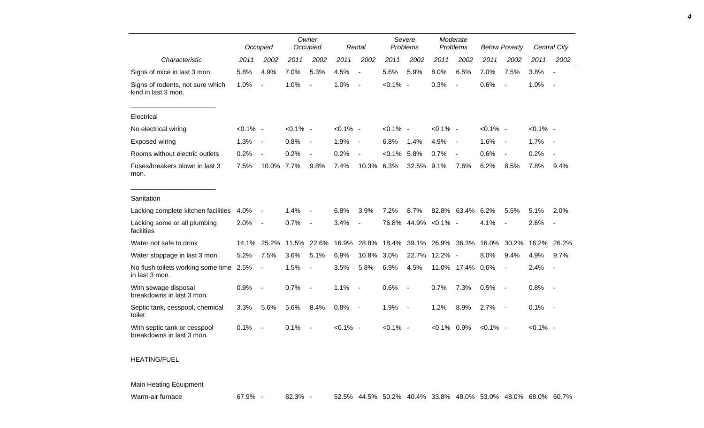|                                                           |             | Occupied                 |             | Owner<br>Occupied        |             | Rental         |             | Severe<br>Problems       | Moderate<br>Problems |                          | <b>Below Poverty</b> |                          |             | Central City             |
|-----------------------------------------------------------|-------------|--------------------------|-------------|--------------------------|-------------|----------------|-------------|--------------------------|----------------------|--------------------------|----------------------|--------------------------|-------------|--------------------------|
| Characteristic                                            | 2011        | 2002                     | 2011        | 2002                     | 2011        | 2002           | 2011        | 2002                     | 2011                 | 2002                     | 2011                 | 2002                     | 2011        | 2002                     |
| Signs of mice in last 3 mon.                              | 5.8%        | 4.9%                     | 7.0%        | 5.3%                     | 4.5%        | $\overline{a}$ | 5.6%        | 5.9%                     | 8.0%                 | 6.5%                     | 7.0%                 | 7.5%                     | 3.8%        |                          |
| Signs of rodents, not sure which<br>kind in last 3 mon.   | 1.0%        | $\overline{a}$           | 1.0%        | $\overline{a}$           | 1.0%        | $\overline{a}$ | $< 0.1\%$ - |                          | 0.3%                 | $\blacksquare$           | 0.6%                 |                          | 1.0%        |                          |
| Electrical                                                |             |                          |             |                          |             |                |             |                          |                      |                          |                      |                          |             |                          |
| No electrical wiring                                      | $< 0.1\%$ - |                          | $< 0.1\%$ - |                          | $< 0.1\%$ - |                | $< 0.1\%$ - |                          | $< 0.1\%$ -          |                          | $< 0.1\%$ -          |                          | $< 0.1\%$ - |                          |
| Exposed wiring                                            | 1.3%        | $\overline{\phantom{a}}$ | 0.8%        | $\overline{\phantom{a}}$ | 1.9%        | $\blacksquare$ | 6.8%        | 1.4%                     | 4.9%                 | $\overline{\phantom{a}}$ | 1.6%                 | $\sim$                   | 1.7%        | $\sim$                   |
| Rooms without electric outlets                            | 0.2%        | $\overline{\phantom{a}}$ | 0.2%        | $\overline{a}$           | 0.2%        | $\overline{a}$ | $< 0.1\%$   | 5.8%                     | 0.7%                 | $\overline{\phantom{a}}$ | 0.6%                 | $\blacksquare$           | 0.2%        |                          |
| Fuses/breakers blown in last 3<br>mon.                    | 7.5%        | 10.0%                    | 7.7%        | 9.8%                     | 7.4%        | 10.3%          | 6.3%        | 32.5%                    | 9.1%                 | 7.6%                     | 6.2%                 | 8.5%                     | 7.8%        | 9.4%                     |
| Sanitation                                                |             |                          |             |                          |             |                |             |                          |                      |                          |                      |                          |             |                          |
| Lacking complete kitchen facilities                       | 4.0%        | $\blacksquare$           | 1.4%        |                          | 6.8%        | 3.9%           | 7.2%        | 8.7%                     |                      | 82.8% 63.4% 6.2%         |                      | 5.5%                     | 5.1%        | 2.0%                     |
| Lacking some or all plumbing<br>facilities                | 2.0%        | $\blacksquare$           | 0.7%        | $\overline{\phantom{a}}$ | 3.4%        | $\blacksquare$ | 76.8%       |                          | 44.9% < 0.1% -       |                          | 4.1%                 | $\blacksquare$           | 2.6%        | $\overline{\phantom{a}}$ |
| Water not safe to drink                                   | 14.1%       | 25.2%                    | 11.5%       | 22.6%                    | 16.9%       | 28.8%          | 18.4%       | 39.1%                    | 26.9%                | 36.3%                    | 16.0%                | 30.2%                    | 16.2%       | 26.2%                    |
| Water stoppage in last 3 mon.                             | 5.2%        | 7.5%                     | 3.6%        | 5.1%                     | 6.9%        | 10.8%          | 3.0%        | 22.7%                    | 12.2% -              |                          | 8.0%                 | 9.4%                     | 4.9%        | 9.7%                     |
| No flush toilets working some time 2.5%<br>in last 3 mon. |             | $\overline{\phantom{a}}$ | 1.5%        | $\overline{a}$           | 3.5%        | 5.8%           | 6.9%        | 4.5%                     |                      | 11.0% 17.4%              | 0.6%                 | $\blacksquare$           | 2.4%        | $\overline{\phantom{a}}$ |
| With sewage disposal<br>breakdowns in last 3 mon.         | 0.9%        | $\overline{\phantom{a}}$ | 0.7%        | $\overline{\phantom{a}}$ | 1.1%        | $\blacksquare$ | 0.6%        | $\overline{\phantom{a}}$ | 0.7%                 | 7.3%                     | 0.5%                 | $\overline{\phantom{a}}$ | 0.8%        | $\sim$                   |
| Septic tank, cesspool, chemical<br>toilet                 | 3.3%        | 5.6%                     | 5.6%        | 8.4%                     | 0.8%        | $\blacksquare$ | 1.9%        | $\overline{\phantom{a}}$ | 1.2%                 | 8.9%                     | 2.7%                 | $\sim$                   | 0.1%        | $\sim$                   |
| With septic tank or cesspool<br>breakdowns in last 3 mon. | 0.1%        |                          | 0.1%        | $\blacksquare$           | $< 0.1\%$ - |                | $< 0.1\%$ - |                          | $< 0.1\%$ 0.9%       |                          | $< 0.1\%$ -          |                          | $< 0.1\%$ - |                          |
| <b>HEATING/FUEL</b>                                       |             |                          |             |                          |             |                |             |                          |                      |                          |                      |                          |             |                          |

Main Heating Equipment

Warm-air furnace 67.9% - 82.3% - 52.5% 44.5% 50.2% 40.4% 33.8% 48.0% 53.0% 48.0% 68.0% 60.7%

*4*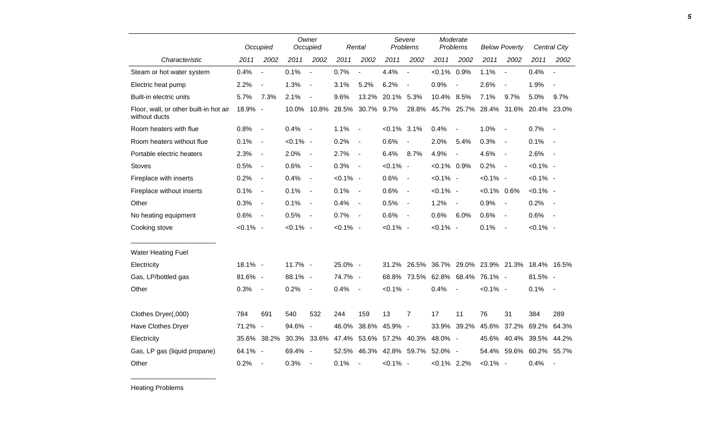|                                                         |             | Occupied                     |             | Owner<br>Occupied        |             | Rental                   | Severe<br>Problems |                          | Moderate<br>Problems |                          | <b>Below Poverty</b>          |                          |             | Central City             |
|---------------------------------------------------------|-------------|------------------------------|-------------|--------------------------|-------------|--------------------------|--------------------|--------------------------|----------------------|--------------------------|-------------------------------|--------------------------|-------------|--------------------------|
| Characteristic                                          | 2011        | 2002                         | 2011        | 2002                     | 2011        | 2002                     | 2011               | 2002                     | 2011                 | 2002                     | 2011                          | 2002                     | 2011        | 2002                     |
| Steam or hot water system                               | 0.4%        | $\overline{a}$               | 0.1%        | $\overline{a}$           | 0.7%        | $\overline{a}$           | 4.4%               | $\overline{a}$           | $< 0.1\%$            | 0.9%                     | 1.1%                          | $\overline{\phantom{a}}$ | 0.4%        |                          |
| Electric heat pump                                      | 2.2%        | $\blacksquare$               | 1.3%        | $\overline{\phantom{a}}$ | 3.1%        | 5.2%                     | 6.2%               | $\overline{\phantom{a}}$ | 0.9%                 | $\overline{a}$           | 2.6%                          | $\overline{\phantom{a}}$ | 1.9%        |                          |
| Built-in electric units                                 | 5.7%        | 7.3%                         | 2.1%        | $\overline{\phantom{a}}$ | 9.6%        | 13.2%                    | 20.1%              | 5.3%                     | 10.4%                | 8.5%                     | 7.1%                          | 9.7%                     | 5.0%        | 9.7%                     |
| Floor, wall, or other built-in hot air<br>without ducts | 18.9% -     |                              |             | 10.0% 10.8%              | 28.5%       | 30.7% 9.7%               |                    | 28.8%                    |                      |                          | 45.7% 25.7% 28.4% 31.6%       |                          | 20.4% 23.0% |                          |
| Room heaters with flue                                  | 0.8%        | $\overline{\phantom{a}}$     | 0.4%        | $\blacksquare$           | 1.1%        | $\overline{\phantom{a}}$ | $< 0.1\%$ 3.1%     |                          | 0.4%                 | $\blacksquare$           | 1.0%                          | $\overline{\phantom{a}}$ | 0.7%        | $\sim$ $-$               |
| Room heaters without flue                               | 0.1%        | $\blacksquare$               | $< 0.1\%$ - |                          | 0.2%        | $\blacksquare$           | 0.6%               |                          | 2.0%                 | 5.4%                     | 0.3%                          | $\sim$                   | 0.1%        | $\sim$ $-$               |
| Portable electric heaters                               | 2.3%        | $\blacksquare$               | 2.0%        | $\blacksquare$           | 2.7%        | $\blacksquare$           | 6.4%               | 8.7%                     | 4.9%                 | $\overline{\phantom{a}}$ | 4.6%                          | $\overline{\phantom{a}}$ | 2.6%        | $\sim$                   |
| <b>Stoves</b>                                           | 0.5%        | $\qquad \qquad \blacksquare$ | 0.6%        | $\blacksquare$           | 0.3%        | $\blacksquare$           | $< 0.1\%$          | $\sim$                   | $< 0.1\%$ 0.9%       |                          | 0.2%                          | $\overline{\phantom{a}}$ | $< 0.1\%$ - |                          |
| Fireplace with inserts                                  | 0.2%        | $\overline{\phantom{a}}$     | 0.4%        | $\blacksquare$           | $< 0.1\%$ - |                          | 0.6%               | $\blacksquare$           | $< 0.1\%$ -          |                          | $< 0.1\%$ -                   |                          | $< 0.1\%$ - |                          |
| Fireplace without inserts                               | 0.1%        | $\overline{\phantom{0}}$     | 0.1%        | $\blacksquare$           | 0.1%        | $\blacksquare$           | 0.6%               | $\overline{\phantom{a}}$ | $< 0.1\%$ -          |                          | $< 0.1\%$ 0.6%                |                          | $< 0.1\%$ - |                          |
| Other                                                   | 0.3%        | $\blacksquare$               | 0.1%        | $\overline{\phantom{a}}$ | 0.4%        | $\overline{\phantom{a}}$ | 0.5%               | $\overline{\phantom{a}}$ | 1.2%                 | $\overline{a}$           | 0.9%                          | $\overline{\phantom{a}}$ | 0.2%        | $\sim$                   |
| No heating equipment                                    | 0.6%        | $\blacksquare$               | 0.5%        | $\blacksquare$           | 0.7%        | $\blacksquare$           | 0.6%               | $\overline{\phantom{a}}$ | 0.6%                 | 6.0%                     | 0.6%                          | $\sim$                   | 0.6%        | $\sim$                   |
| Cooking stove                                           | $< 0.1\%$ - |                              | $< 0.1\%$ - |                          | $< 0.1\%$ - |                          | $< 0.1\%$ -        |                          | $< 0.1\%$ -          |                          | 0.1%                          | $\overline{\phantom{a}}$ | $< 0.1\%$ - |                          |
| <b>Water Heating Fuel</b>                               |             |                              |             |                          |             |                          |                    |                          |                      |                          |                               |                          |             |                          |
| Electricity                                             | 18.1% -     |                              | 11.7% -     |                          | 25.0% -     |                          | 31.2%              | 26.5%                    | 36.7%                |                          | 29.0% 23.9% 21.3% 18.4% 16.5% |                          |             |                          |
| Gas, LP/bottled gas                                     | 81.6% -     |                              | 88.1% -     |                          | 74.7% -     |                          |                    | 68.8% 73.5%              |                      |                          | 62.8% 68.4% 76.1% -           |                          | 81.5% -     |                          |
| Other                                                   | 0.3%        | $\blacksquare$               | 0.2%        | $\blacksquare$           | 0.4%        | $\overline{\phantom{a}}$ | $< 0.1\%$ -        |                          | 0.4%                 | $\sim$                   | $< 0.1\%$ -                   |                          | 0.1%        | $\sim$                   |
| Clothes Dryer(,000)                                     | 784         | 691                          | 540         | 532                      | 244         | 159                      | 13                 | $\overline{7}$           | 17                   | 11                       | 76                            | 31                       | 384         | 289                      |
| Have Clothes Dryer                                      | 71.2%       | $\blacksquare$               | 94.6%       | $\overline{\phantom{a}}$ | 46.0%       | 38.6%                    | 45.9% -            |                          | 33.9%                | 39.2%                    | 45.6%                         | 37.2%                    | 69.2%       | 64.3%                    |
| Electricity                                             | 35.6%       | 38.2%                        | 30.3%       | 33.6%                    | 47.4%       | 53.6%                    | 57.2%              | 40.3%                    | 48.0% -              |                          | 45.6%                         | 40.4%                    | 39.5%       | 44.2%                    |
| Gas, LP gas (liquid propane)                            | 64.1% -     |                              | $69.4\%$ -  |                          | 52.5%       |                          | 46.3% 42.8% 59.7%  |                          | 52.0% -              |                          | 54.4%                         | 59.6%                    | 60.2% 55.7% |                          |
| Other                                                   | 0.2%        | $\overline{\phantom{a}}$     | 0.3%        | $\overline{\phantom{a}}$ | 0.1%        | $\overline{\phantom{a}}$ | $< 0.1\%$ -        |                          | $< 0.1\%$ 2.2%       |                          | $< 0.1\%$ -                   |                          | 0.4%        | $\overline{\phantom{a}}$ |

Heating Problems

\_\_\_\_\_\_\_\_\_\_\_\_\_\_\_\_\_\_\_\_\_\_\_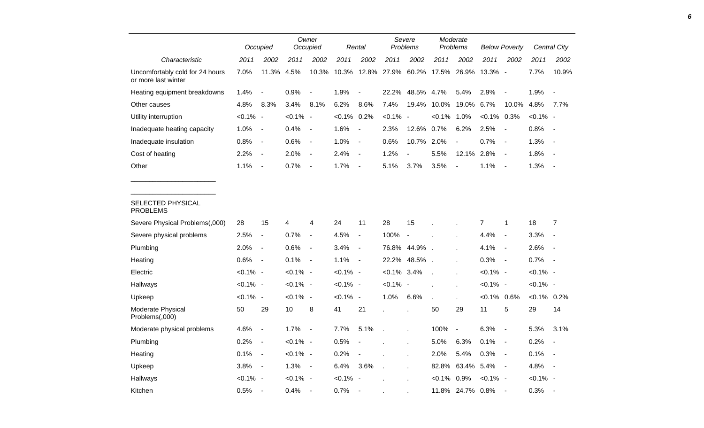|                                                        |             | Occupied                 |             | Owner<br>Occupied        |             | Rental                   |             | Severe<br>Problems |              | Moderate<br>Problems     |                | <b>Below Poverty</b>     |               | Central City             |
|--------------------------------------------------------|-------------|--------------------------|-------------|--------------------------|-------------|--------------------------|-------------|--------------------|--------------|--------------------------|----------------|--------------------------|---------------|--------------------------|
| Characteristic                                         | 2011        | 2002                     | 2011        | 2002                     | 2011        | 2002                     | 2011        | 2002               | 2011         | 2002                     | 2011           | 2002                     | 2011          | 2002                     |
| Uncomfortably cold for 24 hours<br>or more last winter | 7.0%        | 11.3%                    | 4.5%        | 10.3%                    | 10.3%       | 12.8%                    | 27.9%       | 60.2%              | 17.5%        | 26.9%                    | 13.3% -        |                          | 7.7%          | 10.9%                    |
| Heating equipment breakdowns                           | 1.4%        | $\overline{\phantom{a}}$ | 0.9%        |                          | 1.9%        | $\overline{a}$           | 22.2%       | 48.5%              | 4.7%         | 5.4%                     | 2.9%           | $\overline{a}$           | 1.9%          |                          |
| Other causes                                           | 4.8%        | 8.3%                     | 3.4%        | 8.1%                     | 6.2%        | 8.6%                     | 7.4%        | 19.4%              | 10.0%        | 19.0%                    | 6.7%           | 10.0%                    | 4.8%          | 7.7%                     |
| Utility interruption                                   | $< 0.1\%$   | $\overline{\phantom{a}}$ | $< 0.1\%$   | $\overline{\phantom{a}}$ | $< 0.1\%$   | 0.2%                     | $< 0.1\%$   | $\sim$             | $< 0.1\%$    | 1.0%                     | $< 0.1\%$      | 0.3%                     | $< 0.1\%$ -   |                          |
| Inadequate heating capacity                            | 1.0%        | $\blacksquare$           | 0.4%        | $\overline{\phantom{0}}$ | 1.6%        | $\blacksquare$           | 2.3%        | 12.6%              | 0.7%         | 6.2%                     | 2.5%           | $\overline{\phantom{a}}$ | 0.8%          | $\overline{\phantom{a}}$ |
| Inadequate insulation                                  | 0.8%        | $\blacksquare$           | 0.6%        | $\blacksquare$           | 1.0%        | $\overline{\phantom{a}}$ | 0.6%        | 10.7%              | 2.0%         | $\blacksquare$           | 0.7%           | $\overline{\phantom{a}}$ | 1.3%          | $\overline{\phantom{a}}$ |
| Cost of heating                                        | 2.2%        | $\blacksquare$           | 2.0%        | $\overline{\phantom{0}}$ | 2.4%        | $\blacksquare$           | 1.2%        | $\frac{1}{2}$      | 5.5%         | 12.1%                    | 2.8%           | $\overline{\phantom{a}}$ | 1.8%          |                          |
| Other                                                  | 1.1%        | $\overline{\phantom{a}}$ | 0.7%        | $\blacksquare$           | 1.7%        | $\overline{\phantom{a}}$ | 5.1%        | 3.7%               | 3.5%         | $\overline{a}$           | 1.1%           | $\blacksquare$           | 1.3%          | $\overline{\phantom{a}}$ |
| <b>SELECTED PHYSICAL</b><br><b>PROBLEMS</b>            |             |                          |             |                          |             |                          |             |                    |              |                          |                |                          |               |                          |
| Severe Physical Problems(,000)                         | 28          | 15                       | 4           | 4                        | 24          | 11                       | 28          | 15                 |              |                          | $\overline{7}$ | $\mathbf{1}$             | 18            | 7                        |
| Severe physical problems                               | 2.5%        | $\overline{\phantom{a}}$ | 0.7%        | $\blacksquare$           | 4.5%        | $\blacksquare$           | 100%        | $\blacksquare$     |              |                          | 4.4%           | $\overline{\phantom{a}}$ | 3.3%          |                          |
| Plumbing                                               | 2.0%        | $\overline{\phantom{a}}$ | 0.6%        | $\overline{\phantom{a}}$ | 3.4%        | $\blacksquare$           | 76.8%       | 44.9%              | $\sim$       |                          | 4.1%           | $\overline{\phantom{a}}$ | 2.6%          | $\overline{a}$           |
| Heating                                                | 0.6%        | $\overline{\phantom{a}}$ | 0.1%        | $\overline{\phantom{a}}$ | 1.1%        | $\blacksquare$           | 22.2%       | 48.5%.             |              |                          | 0.3%           | $\overline{\phantom{a}}$ | 0.7%          | $\sim$                   |
| Electric                                               | <0.1% -     |                          | $< 0.1\%$ - |                          | $< 0.1\%$ - |                          | $< 0.1\%$   | 3.4%               |              |                          | $< 0.1\%$ -    |                          | $< 0.1\%$ -   |                          |
| Hallways                                               | $< 0.1\%$ - |                          | $< 0.1\%$ - |                          | $< 0.1\%$ - |                          | $< 0.1\%$ - |                    |              |                          | $< 0.1\%$ -    |                          | $< 0.1\%$ -   |                          |
| Upkeep                                                 | $< 0.1\%$ - |                          | $< 0.1\%$ - |                          | $< 0.1\%$ - |                          | 1.0%        | 6.6%               | $\mathbf{r}$ |                          | $<0.1\%$ 0.6%  |                          | $<0.1\%$ 0.2% |                          |
| Moderate Physical<br>Problems(,000)                    | 50          | 29                       | 10          | 8                        | 41          | 21                       |             |                    | 50           | 29                       | 11             | 5                        | 29            | 14                       |
| Moderate physical problems                             | 4.6%        | $\blacksquare$           | 1.7%        |                          | 7.7%        | 5.1%                     |             |                    | 100%         | $\overline{\phantom{a}}$ | 6.3%           | $\overline{\phantom{a}}$ | 5.3%          | 3.1%                     |
| Plumbing                                               | 0.2%        | $\blacksquare$           | $< 0.1\%$ - |                          | 0.5%        |                          |             | Ĭ.                 | 5.0%         | 6.3%                     | 0.1%           | $\overline{\phantom{a}}$ | 0.2%          |                          |
| Heating                                                | 0.1%        | $\blacksquare$           | $< 0.1\%$ - |                          | 0.2%        | $\overline{\phantom{a}}$ |             | Ĭ.                 | 2.0%         | 5.4%                     | 0.3%           | $\blacksquare$           | 0.1%          | $\overline{\phantom{a}}$ |
| Upkeep                                                 | 3.8%        | $\blacksquare$           | 1.3%        | $\blacksquare$           | 6.4%        | 3.6%                     |             |                    | 82.8%        | 63.4%                    | 5.4%           | $\overline{\phantom{a}}$ | 4.8%          | $\overline{\phantom{a}}$ |
| Hallways                                               | $< 0.1\%$ - |                          | $< 0.1\%$ - |                          | $< 0.1\%$   | $\overline{\phantom{a}}$ |             |                    | $< 0.1\%$    | 0.9%                     | $< 0.1\%$ -    |                          | $< 0.1\%$ -   |                          |
| Kitchen                                                | 0.5%        | $\overline{\phantom{a}}$ | 0.4%        |                          | 0.7%        |                          |             |                    |              | 11.8% 24.7%              | 0.8%           |                          | 0.3%          |                          |

*6*